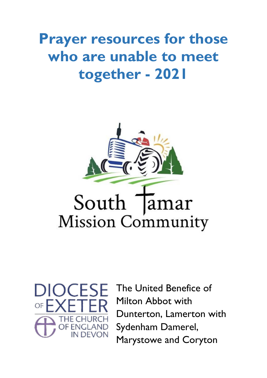# **Prayer resources for those who are unable to meet together - 2021**





The United Benefice of Milton Abbot with Dunterton, Lamerton with Sydenham Damerel, Marystowe and Coryton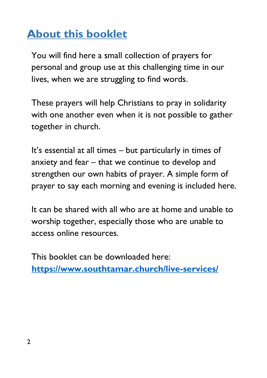## **About this booklet**

You will find here a small collection of prayers for personal and group use at this challenging time in our lives, when we are struggling to find words.

These prayers will help Christians to pray in solidarity with one another even when it is not possible to gather together in church.

It's essential at all times – but particularly in times of anxiety and fear – that we continue to develop and strengthen our own habits of prayer. A simple form of prayer to say each morning and evening is included here.

It can be shared with all who are at home and unable to worship together, especially those who are unable to access online resources.

This booklet can be downloaded here: **<https://www.southtamar.church/live-services/>**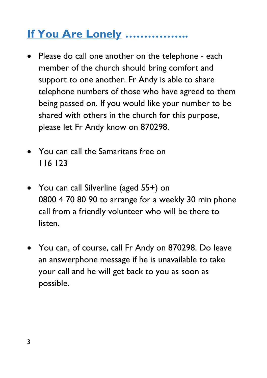# **If You Are Lonely ……………..**

- Please do call one another on the telephone each member of the church should bring comfort and support to one another. Fr Andy is able to share telephone numbers of those who have agreed to them being passed on. If you would like your number to be shared with others in the church for this purpose, please let Fr Andy know on 870298.
- You can call the Samaritans free on 116 123
- You can call Silverline (aged 55+) on 0800 4 70 80 90 to arrange for a weekly 30 min phone call from a friendly volunteer who will be there to listen.
- You can, of course, call Fr Andy on 870298. Do leave an answerphone message if he is unavailable to take your call and he will get back to you as soon as possible.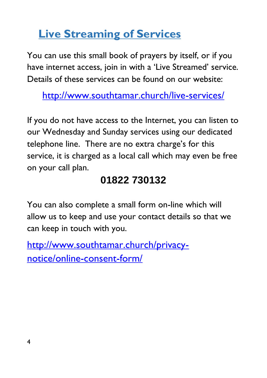## **Live Streaming of Services**

You can use this small book of prayers by itself, or if you have internet access, join in with a 'Live Streamed' service. Details of these services can be found on our website:

<http://www.southtamar.church/live-services/>

If you do not have access to the Internet, you can listen to our Wednesday and Sunday services using our dedicated telephone line. There are no extra charge's for this service, it is charged as a local call which may even be free on your call plan.

## **01822 730132**

You can also complete a small form on-line which will allow us to keep and use your contact details so that we can keep in touch with you.

[http://www.southtamar.church/privacy](http://www.southtamar.church/privacy-notice/online-consent-form/)[notice/online-consent-form/](http://www.southtamar.church/privacy-notice/online-consent-form/)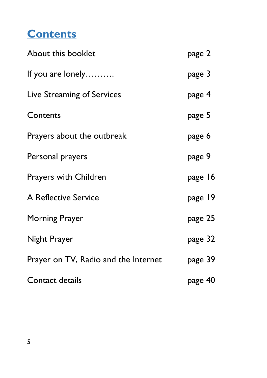## **Contents**

| About this booklet                   | page 2  |
|--------------------------------------|---------|
| If you are lonely                    | page 3  |
| Live Streaming of Services           | page 4  |
| Contents                             | page 5  |
| Prayers about the outbreak           | page 6  |
| Personal prayers                     | page 9  |
| <b>Prayers with Children</b>         | page 16 |
| A Reflective Service                 | page 19 |
| <b>Morning Prayer</b>                | page 25 |
| Night Prayer                         | page 32 |
| Prayer on TV, Radio and the Internet | page 39 |
| Contact details                      | page 40 |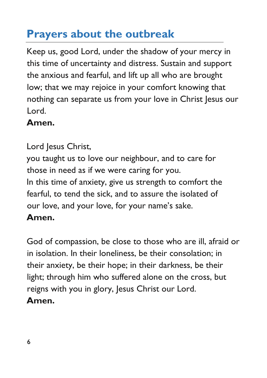## **Prayers about the outbreak**

Keep us, good Lord, under the shadow of your mercy in this time of uncertainty and distress. Sustain and support the anxious and fearful, and lift up all who are brought low; that we may rejoice in your comfort knowing that nothing can separate us from your love in Christ Jesus our Lord.

#### **Amen.**

Lord Jesus Christ, you taught us to love our neighbour, and to care for those in need as if we were caring for you. In this time of anxiety, give us strength to comfort the fearful, to tend the sick, and to assure the isolated of our love, and your love, for your name's sake. **Amen.**

God of compassion, be close to those who are ill, afraid or in isolation. In their loneliness, be their consolation; in their anxiety, be their hope; in their darkness, be their light; through him who suffered alone on the cross, but reigns with you in glory, Jesus Christ our Lord. **Amen.**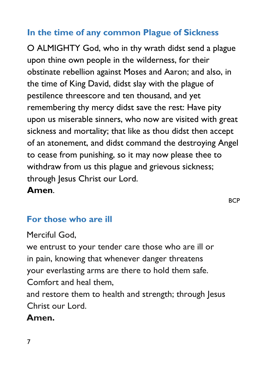#### **In the time of any common Plague of Sickness**

O ALMIGHTY God, who in thy wrath didst send a plague upon thine own people in the wilderness, for their obstinate rebellion against Moses and Aaron; and also, in the time of King David, didst slay with the plague of pestilence threescore and ten thousand, and yet remembering thy mercy didst save the rest: Have pity upon us miserable sinners, who now are visited with great sickness and mortality; that like as thou didst then accept of an atonement, and didst command the destroying Angel to cease from punishing, so it may now please thee to withdraw from us this plague and grievous sickness; through Jesus Christ our Lord.

#### **Amen**.

**BCP** 

## **For those who are ill**

Merciful God,

we entrust to your tender care those who are ill or in pain, knowing that whenever danger threatens your everlasting arms are there to hold them safe. Comfort and heal them,

and restore them to health and strength; through Jesus Christ our Lord.

## **Amen.**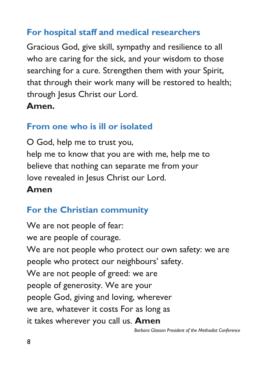#### **For hospital staff and medical researchers**

Gracious God, give skill, sympathy and resilience to all who are caring for the sick, and your wisdom to those searching for a cure. Strengthen them with your Spirit, that through their work many will be restored to health; through Jesus Christ our Lord.

#### **Amen.**

#### **From one who is ill or isolated**

O God, help me to trust you, help me to know that you are with me, help me to believe that nothing can separate me from your love revealed in Jesus Christ our Lord.

#### **Amen**

## **For the Christian community**

We are not people of fear: we are people of courage. We are not people who protect our own safety: we are people who protect our neighbours' safety. We are not people of greed: we are people of generosity. We are your people God, giving and loving, wherever we are, whatever it costs For as long as it takes wherever you call us. **Amen**

*Barbara Glasson President of the Methodist Conference*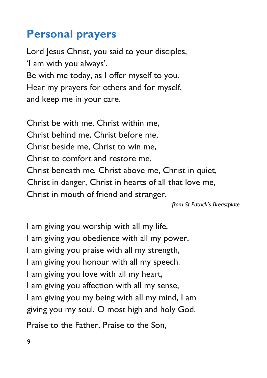## **Personal prayers**

Lord Jesus Christ, you said to your disciples, 'I am with you always'. Be with me today, as I offer myself to you. Hear my prayers for others and for myself, and keep me in your care.

Christ be with me, Christ within me, Christ behind me, Christ before me, Christ beside me, Christ to win me, Christ to comfort and restore me. Christ beneath me, Christ above me, Christ in quiet, Christ in danger, Christ in hearts of all that love me, Christ in mouth of friend and stranger.

*from St Patrick's Breastplate*

I am giving you worship with all my life, I am giving you obedience with all my power, I am giving you praise with all my strength, I am giving you honour with all my speech. I am giving you love with all my heart, I am giving you affection with all my sense, I am giving you my being with all my mind, I am giving you my soul, O most high and holy God.

Praise to the Father, Praise to the Son,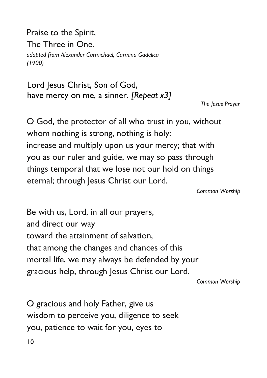Praise to the Spirit, The Three in One. *adapted from Alexander Carmichael, Carmina Gadelica (1900)*

Lord Jesus Christ, Son of God, have mercy on me, a sinner. *[Repeat x3]*

*The Jesus Prayer*

O God, the protector of all who trust in you, without whom nothing is strong, nothing is holy: increase and multiply upon us your mercy; that with you as our ruler and guide, we may so pass through things temporal that we lose not our hold on things eternal; through Jesus Christ our Lord.

*Common Worship*

Be with us, Lord, in all our prayers, and direct our way toward the attainment of salvation, that among the changes and chances of this mortal life, we may always be defended by your gracious help, through Jesus Christ our Lord.

*Common Worship*

O gracious and holy Father, give us wisdom to perceive you, diligence to seek you, patience to wait for you, eyes to

10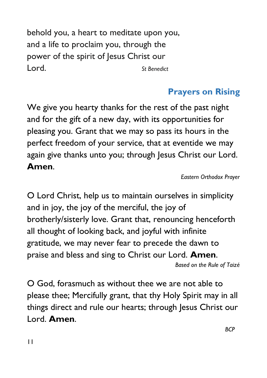behold you, a heart to meditate upon you, and a life to proclaim you, through the power of the spirit of Jesus Christ our Lord. *St Benedict*

## **Prayers on Rising**

We give you hearty thanks for the rest of the past night and for the gift of a new day, with its opportunities for pleasing you. Grant that we may so pass its hours in the perfect freedom of your service, that at eventide we may again give thanks unto you; through Jesus Christ our Lord. **Amen**.

*Eastern Orthodox Prayer*

**BCP** 

O Lord Christ, help us to maintain ourselves in simplicity and in joy, the joy of the merciful, the joy of brotherly/sisterly love. Grant that, renouncing henceforth all thought of looking back, and joyful with infinite gratitude, we may never fear to precede the dawn to praise and bless and sing to Christ our Lord. **Amen**. *Based on the Rule of Taizé*

O God, forasmuch as without thee we are not able to please thee; Mercifully grant, that thy Holy Spirit may in all things direct and rule our hearts; through Jesus Christ our Lord. **Amen**.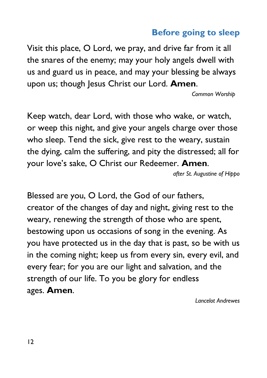#### **Before going to sleep**

Visit this place, O Lord, we pray, and drive far from it all the snares of the enemy; may your holy angels dwell with us and guard us in peace, and may your blessing be always upon us; though Jesus Christ our Lord. **Amen**.

 *Common Worship*

Keep watch, dear Lord, with those who wake, or watch, or weep this night, and give your angels charge over those who sleep. Tend the sick, give rest to the weary, sustain the dying, calm the suffering, and pity the distressed; all for your love's sake, O Christ our Redeemer. **Amen**.

*after St. Augustine of Hippo*

Blessed are you, O Lord, the God of our fathers, creator of the changes of day and night, giving rest to the weary, renewing the strength of those who are spent, bestowing upon us occasions of song in the evening. As you have protected us in the day that is past, so be with us in the coming night; keep us from every sin, every evil, and every fear; for you are our light and salvation, and the strength of our life. To you be glory for endless ages. **Amen**.

*Lancelot Andrewes*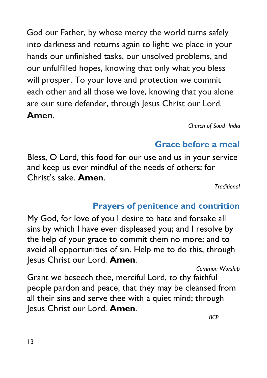God our Father, by whose mercy the world turns safely into darkness and returns again to light: we place in your hands our unfinished tasks, our unsolved problems, and our unfulfilled hopes, knowing that only what you bless will prosper. To your love and protection we commit each other and all those we love, knowing that you alone are our sure defender, through Jesus Christ our Lord. **Amen**.

*Church of South India*

## **Grace before a meal**

Bless, O Lord, this food for our use and us in your service and keep us ever mindful of the needs of others; for Christ's sake. **Amen**.

*Traditional*

## **Prayers of penitence and contrition**

My God, for love of you I desire to hate and forsake all sins by which I have ever displeased you; and I resolve by the help of your grace to commit them no more; and to avoid all opportunities of sin. Help me to do this, through Jesus Christ our Lord. **Amen**.

*Common Worship*

Grant we beseech thee, merciful Lord, to thy faithful people pardon and peace; that they may be cleansed from all their sins and serve thee with a quiet mind; through Jesus Christ our Lord. **Amen**.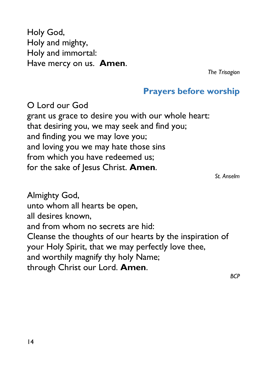Holy God, Holy and mighty, Holy and immortal: Have mercy on us. **Amen**.

*The Trisagion*

#### **Prayers before worship**

O Lord our God grant us grace to desire you with our whole heart: that desiring you, we may seek and find you; and finding you we may love you; and loving you we may hate those sins from which you have redeemed us; for the sake of Jesus Christ. **Amen**.

*St. Anselm*

Almighty God, unto whom all hearts be open, all desires known, and from whom no secrets are hid: Cleanse the thoughts of our hearts by the inspiration of your Holy Spirit, that we may perfectly love thee, and worthily magnify thy holy Name; through Christ our Lord. **Amen**.

*BCP*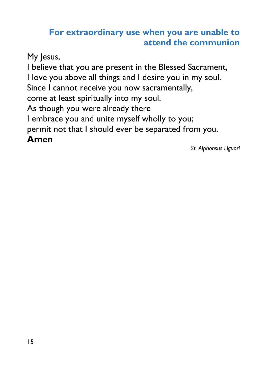#### **For extraordinary use when you are unable to attend the communion**

My Jesus,

I believe that you are present in the Blessed Sacrament, I love you above all things and I desire you in my soul. Since I cannot receive you now sacramentally, come at least spiritually into my soul. As though you were already there I embrace you and unite myself wholly to you; permit not that I should ever be separated from you. **Amen**

*St. Alphonsus Liguori*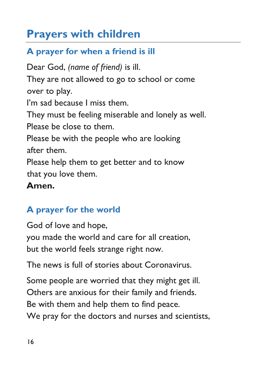## **Prayers with children**

## **A prayer for when a friend is ill**

Dear God, *(name of friend)* is ill. They are not allowed to go to school or come over to play. I'm sad because I miss them. They must be feeling miserable and lonely as well. Please be close to them. Please be with the people who are looking after them. Please help them to get better and to know that you love them. **Amen.**

#### **A prayer for the world**

God of love and hope, you made the world and care for all creation, but the world feels strange right now.

The news is full of stories about Coronavirus.

Some people are worried that they might get ill. Others are anxious for their family and friends. Be with them and help them to find peace. We pray for the doctors and nurses and scientists,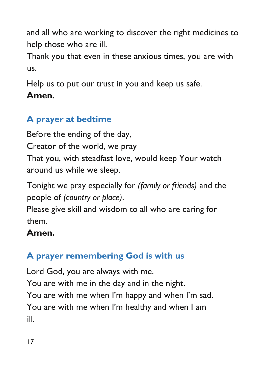and all who are working to discover the right medicines to help those who are ill.

Thank you that even in these anxious times, you are with us.

Help us to put our trust in you and keep us safe. **Amen.**

## **A prayer at bedtime**

Before the ending of the day, Creator of the world, we pray That you, with steadfast love, would keep Your watch around us while we sleep.

Tonight we pray especially for *(family or friends)* and the people of *(country or place)*.

Please give skill and wisdom to all who are caring for them.

#### **Amen.**

## **A prayer remembering God is with us**

Lord God, you are always with me.

You are with me in the day and in the night. You are with me when I'm happy and when I'm sad. You are with me when I'm healthy and when I am ill.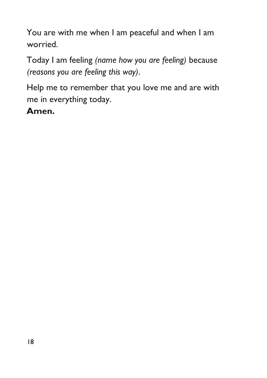You are with me when I am peaceful and when I am worried.

Today I am feeling *(name how you are feeling)* because *(reasons you are feeling this way)*.

Help me to remember that you love me and are with me in everything today.

**Amen.**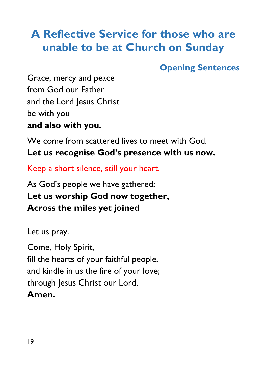## **A Reflective Service for those who are unable to be at Church on Sunday**

#### **Opening Sentences**

Grace, mercy and peace from God our Father and the Lord Jesus Christ be with you **and also with you.**

We come from scattered lives to meet with God. **Let us recognise God's presence with us now.**

Keep a short silence, still your heart.

As God's people we have gathered; **Let us worship God now together, Across the miles yet joined** 

Let us pray.

Come, Holy Spirit, fill the hearts of your faithful people, and kindle in us the fire of your love; through Jesus Christ our Lord, **Amen.**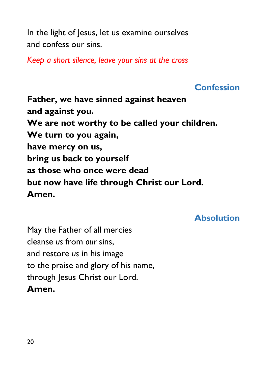In the light of Jesus, let us examine ourselves and confess our sins.

*Keep a short silence, leave your sins at the cross*

#### **Confession**

**Father, we have sinned against heaven and against you. We are not worthy to be called your children. We turn to you again, have mercy on us, bring us back to yourself as those who once were dead but now have life through Christ our Lord. Amen.**

#### **Absolution**

May the Father of all mercies cleanse *us* from *our* sins, and restore *us* in his image to the praise and glory of his name, through Jesus Christ our Lord. **Amen.**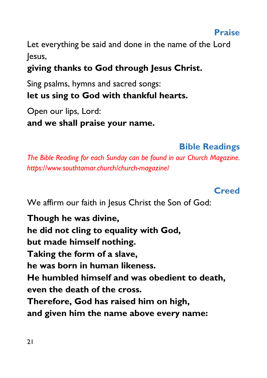Let everything be said and done in the name of the Lord lesus.

## **giving thanks to God through Jesus Christ.**

Sing psalms, hymns and sacred songs: **let us sing to God with thankful hearts.**

Open our lips, Lord: **and we shall praise your name.**

#### **Bible Readings**

*The Bible Reading for each Sunday can be found in our Church Magazine. https://www.southtamar.church/church-magazine/*

#### **Creed**

We affirm our faith in Jesus Christ the Son of God:

**Though he was divine, he did not cling to equality with God, but made himself nothing. Taking the form of a slave, he was born in human likeness. He humbled himself and was obedient to death, even the death of the cross. Therefore, God has raised him on high, and given him the name above every name:**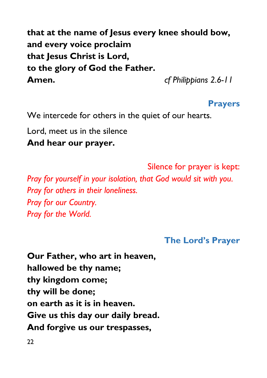**that at the name of Jesus every knee should bow, and every voice proclaim that Jesus Christ is Lord, to the glory of God the Father. Amen.** *cf Philippians 2.6-11*

#### **Prayers**

We intercede for others in the quiet of our hearts.

Lord, meet us in the silence **And hear our prayer.**

Silence for prayer is kept: *Pray for yourself in your isolation, that God would sit with you. Pray for others in their loneliness. Pray for our Country. Pray for the World.*

#### **The Lord's Prayer**

**Our Father, who art in heaven, hallowed be thy name; thy kingdom come; thy will be done; on earth as it is in heaven. Give us this day our daily bread. And forgive us our trespasses,**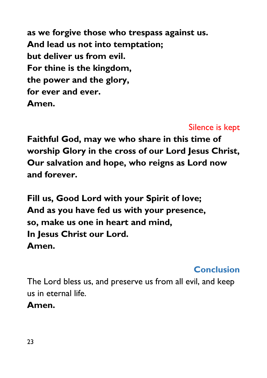**as we forgive those who trespass against us. And lead us not into temptation; but deliver us from evil. For thine is the kingdom, the power and the glory, for ever and ever. Amen.**

#### Silence is kept

**Faithful God, may we who share in this time of worship Glory in the cross of our Lord Jesus Christ, Our salvation and hope, who reigns as Lord now and forever.**

**Fill us, Good Lord with your Spirit of love; And as you have fed us with your presence, so, make us one in heart and mind, In Jesus Christ our Lord. Amen.**

#### **Conclusion**

The Lord bless us, and preserve us from all evil, and keep us in eternal life.

**Amen.**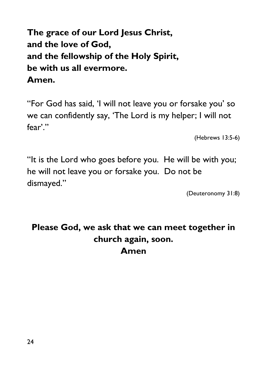**The grace of our Lord Jesus Christ, and the love of God, and the fellowship of the Holy Spirit, be with us all evermore. Amen.**

"For God has said, 'I will not leave you or forsake you' so we can confidently say, 'The Lord is my helper; I will not fear'."

(Hebrews 13:5-6)

"It is the Lord who goes before you. He will be with you; he will not leave you or forsake you. Do not be dismayed."

(Deuteronomy 31:8)

#### **Please God, we ask that we can meet together in church again, soon. Amen**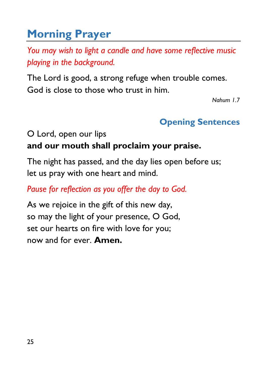# **Morning Prayer**

*You may wish to light a candle and have some reflective music playing in the background.*

The Lord is good, a strong refuge when trouble comes. God is close to those who trust in him.

*Nahum 1.7*

#### **Opening Sentences**

O Lord, open our lips

#### **and our mouth shall proclaim your praise.**

The night has passed, and the day lies open before us; let us pray with one heart and mind.

*Pause for reflection as you offer the day to God.*

As we rejoice in the gift of this new day, so may the light of your presence, O God, set our hearts on fire with love for you; now and for ever. **Amen.**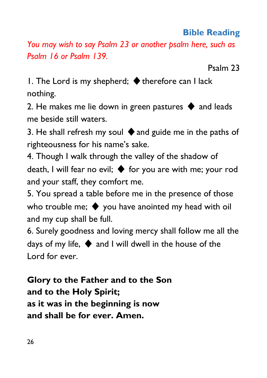#### **Bible Reading**

*You may wish to say Psalm 23 or another psalm here, such as Psalm 16 or Psalm 139.* 

Psalm 23

1. The Lord is my shepherd;  $\blacklozenge$  therefore can I lack nothing.

2. He makes me lie down in green pastures  $\blacklozenge$  and leads me beside still waters.

3. He shall refresh my soul  $\blacklozenge$  and guide me in the paths of righteousness for his name's sake.

4. Though I walk through the valley of the shadow of death, I will fear no evil;  $\blacklozenge$  for you are with me; your rod and your staff, they comfort me.

5. You spread a table before me in the presence of those who trouble me;  $\blacklozenge$  you have anointed my head with oil and my cup shall be full.

6. Surely goodness and loving mercy shall follow me all the days of my life, ♦︎ and I will dwell in the house of the Lord for ever.

**Glory to the Father and to the Son and to the Holy Spirit; as it was in the beginning is now and shall be for ever. Amen.**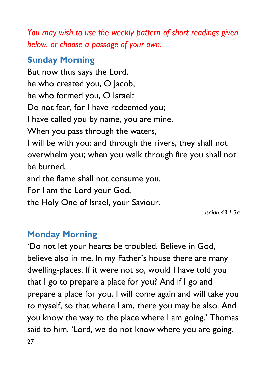*You may wish to use the weekly pattern of short readings given below, or choose a passage of your own.*

#### **Sunday Morning**

But now thus says the Lord, he who created you, O Jacob, he who formed you, O Israel: Do not fear, for I have redeemed you; I have called you by name, you are mine. When you pass through the waters, I will be with you; and through the rivers, they shall not overwhelm you; when you walk through fire you shall not be burned, and the flame shall not consume you. For I am the Lord your God,

the Holy One of Israel, your Saviour.

*Isaiah 43.1-3a* 

#### **Monday Morning**

27 'Do not let your hearts be troubled. Believe in God, believe also in me. In my Father's house there are many dwelling-places. If it were not so, would I have told you that I go to prepare a place for you? And if I go and prepare a place for you, I will come again and will take you to myself, so that where I am, there you may be also. And you know the way to the place where I am going.' Thomas said to him, 'Lord, we do not know where you are going.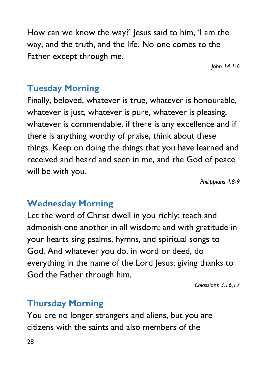How can we know the way?' Jesus said to him, 'I am the way, and the truth, and the life. No one comes to the Father except through me.

*John 14.1-6*

#### **Tuesday Morning**

Finally, beloved, whatever is true, whatever is honourable, whatever is just, whatever is pure, whatever is pleasing, whatever is commendable, if there is any excellence and if there is anything worthy of praise, think about these things. Keep on doing the things that you have learned and received and heard and seen in me, and the God of peace will be with you.

*Philippians 4.8-9*

#### **Wednesday Morning**

Let the word of Christ dwell in you richly; teach and admonish one another in all wisdom; and with gratitude in your hearts sing psalms, hymns, and spiritual songs to God. And whatever you do, in word or deed, do everything in the name of the Lord Jesus, giving thanks to God the Father through him.

*Colossians 3.16,17*

#### **Thursday Morning**

You are no longer strangers and aliens, but you are citizens with the saints and also members of the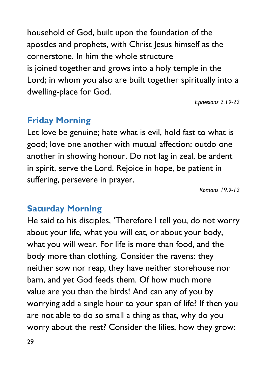household of God, built upon the foundation of the apostles and prophets, with Christ Jesus himself as the cornerstone. In him the whole structure is joined together and grows into a holy temple in the Lord; in whom you also are built together spiritually into a dwelling-place for God.

*Ephesians 2.19-22*

#### **Friday Morning**

Let love be genuine; hate what is evil, hold fast to what is good; love one another with mutual affection; outdo one another in showing honour. Do not lag in zeal, be ardent in spirit, serve the Lord. Rejoice in hope, be patient in suffering, persevere in prayer.

*Romans 19.9-12*

#### **Saturday Morning**

He said to his disciples, 'Therefore I tell you, do not worry about your life, what you will eat, or about your body, what you will wear. For life is more than food, and the body more than clothing. Consider the ravens: they neither sow nor reap, they have neither storehouse nor barn, and yet God feeds them. Of how much more value are you than the birds! And can any of you by worrying add a single hour to your span of life? If then you are not able to do so small a thing as that, why do you worry about the rest? Consider the lilies, how they grow: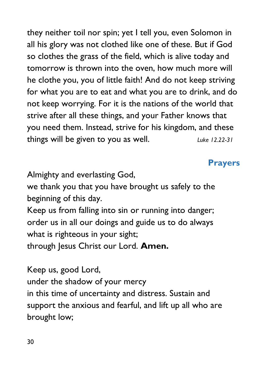they neither toil nor spin; yet I tell you, even Solomon in all his glory was not clothed like one of these. But if God so clothes the grass of the field, which is alive today and tomorrow is thrown into the oven, how much more will he clothe you, you of little faith! And do not keep striving for what you are to eat and what you are to drink, and do not keep worrying. For it is the nations of the world that strive after all these things, and your Father knows that you need them. Instead, strive for his kingdom, and these things will be given to you as well. *Luke 12.22-31*

#### **Prayers**

Almighty and everlasting God,

we thank you that you have brought us safely to the beginning of this day.

Keep us from falling into sin or running into danger; order us in all our doings and guide us to do always what is righteous in your sight; through Jesus Christ our Lord. **Amen.** 

Keep us, good Lord,

under the shadow of your mercy

in this time of uncertainty and distress. Sustain and support the anxious and fearful, and lift up all who are brought low;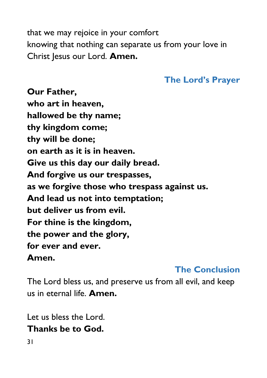that we may rejoice in your comfort knowing that nothing can separate us from your love in Christ Jesus our Lord. **Amen.**

#### **The Lord's Prayer**

**Our Father, who art in heaven, hallowed be thy name; thy kingdom come; thy will be done; on earth as it is in heaven. Give us this day our daily bread. And forgive us our trespasses, as we forgive those who trespass against us. And lead us not into temptation; but deliver us from evil. For thine is the kingdom, the power and the glory, for ever and ever. Amen.**

#### **The Conclusion**

The Lord bless us, and preserve us from all evil, and keep us in eternal life. **Amen.**

Let us bless the Lord. **Thanks be to God.**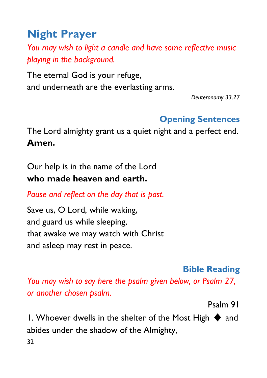# **Night Prayer**

*You may wish to light a candle and have some reflective music playing in the background.*

The eternal God is your refuge, and underneath are the everlasting arms.

*Deuteronomy 33.27*

#### **Opening Sentences**

The Lord almighty grant us a quiet night and a perfect end. **Amen.**

Our help is in the name of the Lord **who made heaven and earth.**

*Pause and reflect on the day that is past.*

Save us, O Lord, while waking, and guard us while sleeping, that awake we may watch with Christ and asleep may rest in peace.

#### **Bible Reading**

*You may wish to say here the psalm given below, or Psalm 27, or another chosen psalm.*

Psalm 91

32 1. Whoever dwells in the shelter of the Most High  $\blacklozenge$  and abides under the shadow of the Almighty,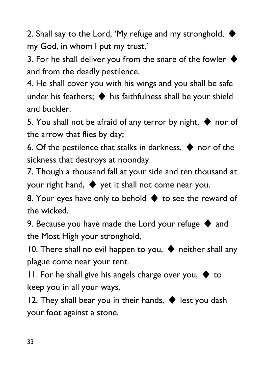2. Shall say to the Lord, 'My refuge and my stronghold,  $\blacklozenge$ my God, in whom I put my trust.'

3. For he shall deliver you from the snare of the fowler  $\triangleleft$ and from the deadly pestilence.

4. He shall cover you with his wings and you shall be safe under his feathers;  $\blacklozenge$  his faithfulness shall be your shield and buckler.

5. You shall not be afraid of any terror by night,  $\blacklozenge$  nor of the arrow that flies by day;

6. Of the pestilence that stalks in darkness,  $\blacklozenge$  nor of the sickness that destroys at noonday.

7. Though a thousand fall at your side and ten thousand at your right hand,  $\blacklozenge$  yet it shall not come near you.

8. Your eyes have only to behold  $\blacklozenge$  to see the reward of the wicked.

9. Because you have made the Lord your refuge  $\blacklozenge$  and the Most High your stronghold,

10. There shall no evil happen to you,  $\blacklozenge$  neither shall any plague come near your tent.

11. For he shall give his angels charge over you,  $\blacklozenge$  to keep you in all your ways.

12. They shall bear you in their hands,  $\blacklozenge$  lest you dash your foot against a stone.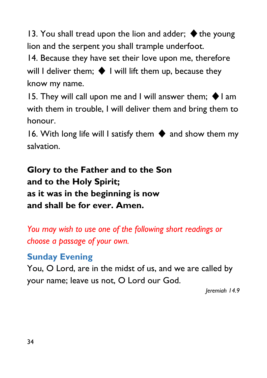13. You shall tread upon the lion and adder;  $\blacklozenge$  the young lion and the serpent you shall trample underfoot.

14. Because they have set their love upon me, therefore will I deliver them:  $\blacklozenge$  I will lift them up, because they know my name.

15. They will call upon me and I will answer them;  $\blacklozenge$  I am with them in trouble, I will deliver them and bring them to honour.

16. With long life will I satisfy them  $\blacklozenge$  and show them my salvation.

**Glory to the Father and to the Son and to the Holy Spirit; as it was in the beginning is now and shall be for ever. Amen.**

*You may wish to use one of the following short readings or choose a passage of your own.*

#### **Sunday Evening**

You, O Lord, are in the midst of us, and we are called by your name; leave us not, O Lord our God.

*Jeremiah 14.9*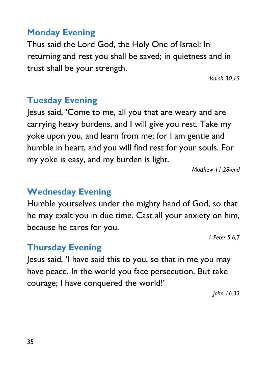#### **Monday Evening**

Thus said the Lord God, the Holy One of Israel: In returning and rest you shall be saved; in quietness and in trust shall be your strength.

*Isaiah 30.15*

#### **Tuesday Evening**

Jesus said, 'Come to me, all you that are weary and are carrying heavy burdens, and I will give you rest. Take my yoke upon you, and learn from me; for I am gentle and humble in heart, and you will find rest for your souls. For my yoke is easy, and my burden is light.

*Matthew 11.28-end*

#### **Wednesday Evening**

Humble yourselves under the mighty hand of God, so that he may exalt you in due time. Cast all your anxiety on him, because he cares for you.

*1 Peter 5.6,7*

#### **Thursday Evening**

Jesus said, 'I have said this to you, so that in me you may have peace. In the world you face persecution. But take courage; I have conquered the world!'

*John 16.33*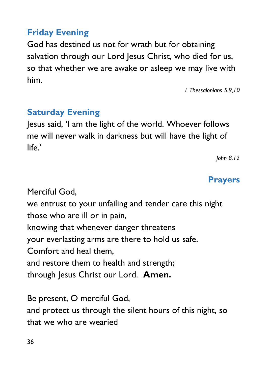#### **Friday Evening**

God has destined us not for wrath but for obtaining salvation through our Lord Jesus Christ, who died for us, so that whether we are awake or asleep we may live with him.

*1 Thessalonians 5.9,10*

#### **Saturday Evening**

Jesus said, 'I am the light of the world. Whoever follows me will never walk in darkness but will have the light of  $l$ ife $^{\prime}$ 

*John 8.12*

#### **Prayers**

Merciful God, we entrust to your unfailing and tender care this night those who are ill or in pain, knowing that whenever danger threatens your everlasting arms are there to hold us safe. Comfort and heal them, and restore them to health and strength; through Jesus Christ our Lord. **Amen.**

Be present, O merciful God, and protect us through the silent hours of this night, so that we who are wearied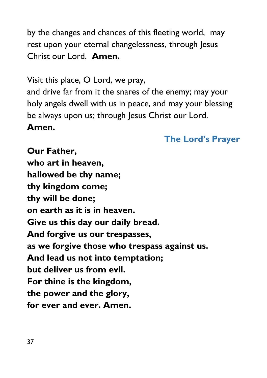by the changes and chances of this fleeting world, may rest upon your eternal changelessness, through Jesus Christ our Lord. **Amen.** 

Visit this place, O Lord, we pray,

and drive far from it the snares of the enemy; may your holy angels dwell with us in peace, and may your blessing be always upon us; through Jesus Christ our Lord. **Amen.**

#### **The Lord's Prayer**

**Our Father, who art in heaven, hallowed be thy name; thy kingdom come; thy will be done; on earth as it is in heaven. Give us this day our daily bread. And forgive us our trespasses, as we forgive those who trespass against us. And lead us not into temptation; but deliver us from evil. For thine is the kingdom, the power and the glory, for ever and ever. Amen.**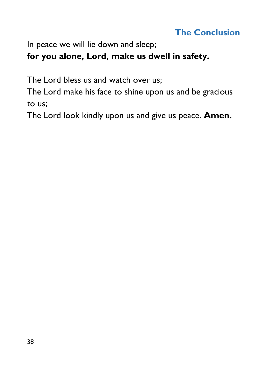#### **The Conclusion**

In peace we will lie down and sleep;

#### **for you alone, Lord, make us dwell in safety.**

The Lord bless us and watch over us;

The Lord make his face to shine upon us and be gracious to us;

The Lord look kindly upon us and give us peace. **Amen.**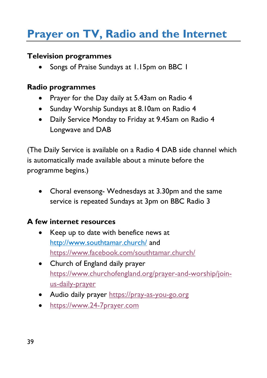## **Prayer on TV, Radio and the Internet**

#### **Television programmes**

• Songs of Praise Sundays at 1.15pm on BBC 1

#### **Radio programmes**

- Prayer for the Day daily at 5.43am on Radio 4
- Sunday Worship Sundays at 8.10am on Radio 4
- Daily Service Monday to Friday at 9.45am on Radio 4 Longwave and DAB

(The Daily Service is available on a Radio 4 DAB side channel which is automatically made available about a minute before the programme begins.)

• Choral evensong- Wednesdays at 3.30pm and the same service is repeated Sundays at 3pm on BBC Radio 3

#### **A few internet resources**

- Keep up to date with benefice news at <http://www.southtamar.church/> and <https://www.facebook.com/southtamar.church/>
- Church of England daily prayer [https://www.churchofengland.org/prayer-and-worship/join](https://www.churchofengland.org/prayer-and-worship/join-us-daily-prayer)[us-daily-prayer](https://www.churchofengland.org/prayer-and-worship/join-us-daily-prayer)
- Audio daily prayer [https://pray-as-you-go.org](https://pray-as-you-go.org/)
- [https://www.24-7prayer.com](https://www.24-7prayer.com/)